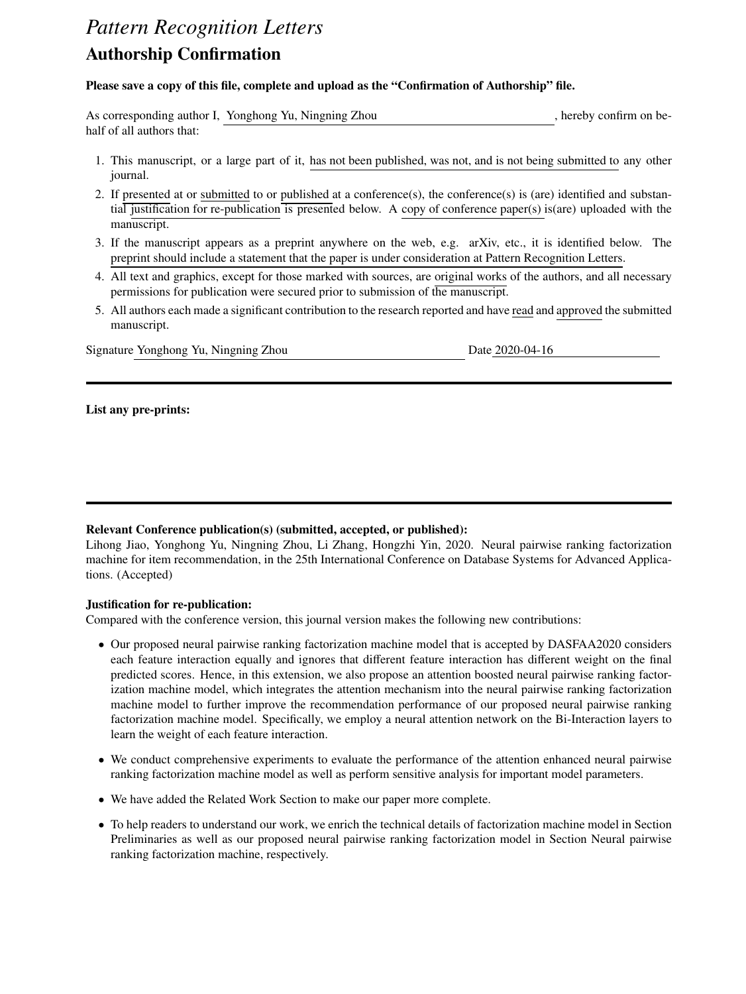# *Pattern Recognition Letters* Authorship Confirmation

# Please save a copy of this file, complete and upload as the "Confirmation of Authorship" file.

|                           | As corresponding author I, Yonghong Yu, Ningning Zhou | hereby confirm on be- |
|---------------------------|-------------------------------------------------------|-----------------------|
| half of all authors that: |                                                       |                       |

- 1. This manuscript, or a large part of it, has not been published, was not, and is not being submitted to any other journal.
- 2. If presented at or submitted to or published at a conference(s), the conference(s) is (are) identified and substantial justification for re-publication is presented below. A copy of conference paper(s) is(are) uploaded with the manuscript.
- 3. If the manuscript appears as a preprint anywhere on the web, e.g. arXiv, etc., it is identified below. The preprint should include a statement that the paper is under consideration at Pattern Recognition Letters.
- 4. All text and graphics, except for those marked with sources, are original works of the authors, and all necessary permissions for publication were secured prior to submission of the manuscript.
- 5. All authors each made a significant contribution to the research reported and have read and approved the submitted manuscript.

Signature Yonghong Yu, Ningning Zhou Date 2020-04-16

# List any pre-prints:

# Relevant Conference publication(s) (submitted, accepted, or published):

Lihong Jiao, Yonghong Yu, Ningning Zhou, Li Zhang, Hongzhi Yin, 2020. Neural pairwise ranking factorization machine for item recommendation, in the 25th International Conference on Database Systems for Advanced Applications. (Accepted)

# Justification for re-publication:

Compared with the conference version, this journal version makes the following new contributions:

- Our proposed neural pairwise ranking factorization machine model that is accepted by DASFAA2020 considers each feature interaction equally and ignores that different feature interaction has different weight on the final predicted scores. Hence, in this extension, we also propose an attention boosted neural pairwise ranking factorization machine model, which integrates the attention mechanism into the neural pairwise ranking factorization machine model to further improve the recommendation performance of our proposed neural pairwise ranking factorization machine model. Specifically, we employ a neural attention network on the Bi-Interaction layers to learn the weight of each feature interaction.
- We conduct comprehensive experiments to evaluate the performance of the attention enhanced neural pairwise ranking factorization machine model as well as perform sensitive analysis for important model parameters.
- We have added the Related Work Section to make our paper more complete.
- To help readers to understand our work, we enrich the technical details of factorization machine model in Section Preliminaries as well as our proposed neural pairwise ranking factorization model in Section Neural pairwise ranking factorization machine, respectively.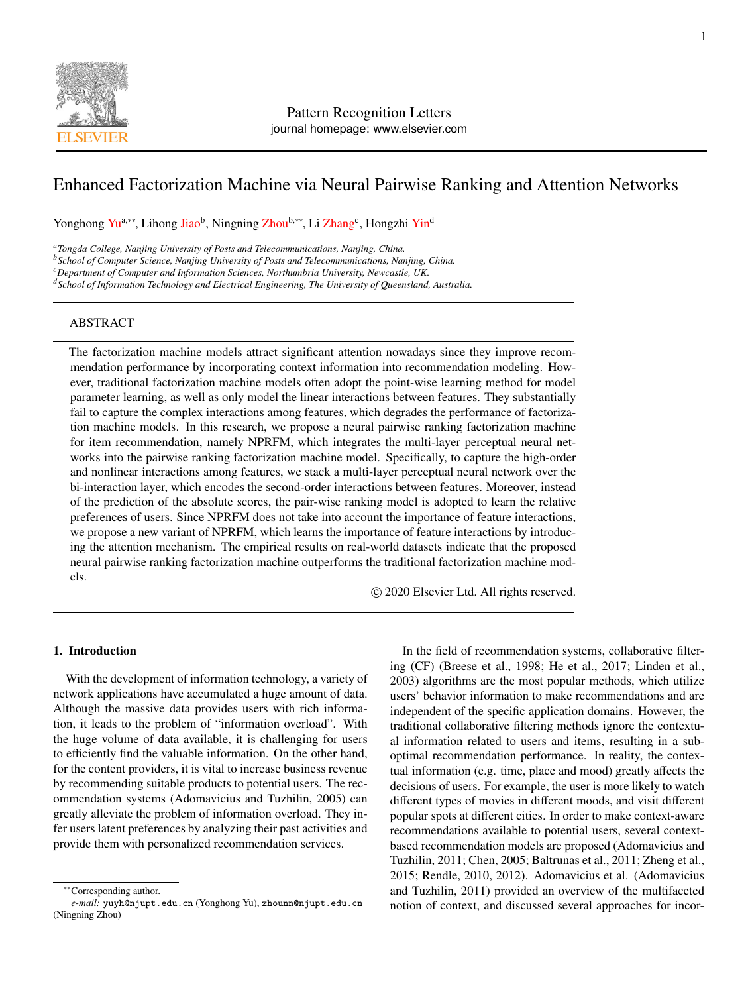

# Pattern Recognition Letters journal homepage: www.elsevier.com

# Enhanced Factorization Machine via Neural Pairwise Ranking and Attention Networks

Yonghong Yu<sup>a,∗∗</sup>, Lihong Jiao<sup>b</sup>, Ningning Zhou<sup>b,</sup>\*\*, Li Zhang<sup>c</sup>, Hongzhi Yin<sup>d</sup>

*<sup>a</sup>Tongda College, Nanjing University of Posts and Telecommunications, Nanjing, China.*

*<sup>b</sup>School of Computer Science, Nanjing University of Posts and Telecommunications, Nanjing, China.*

*<sup>c</sup>Department of Computer and Information Sciences, Northumbria University, Newcastle, UK.*

*<sup>d</sup>School of Information Technology and Electrical Engineering, The University of Queensland, Australia.*

# ABSTRACT

The factorization machine models attract significant attention nowadays since they improve recommendation performance by incorporating context information into recommendation modeling. However, traditional factorization machine models often adopt the point-wise learning method for model parameter learning, as well as only model the linear interactions between features. They substantially fail to capture the complex interactions among features, which degrades the performance of factorization machine models. In this research, we propose a neural pairwise ranking factorization machine for item recommendation, namely NPRFM, which integrates the multi-layer perceptual neural networks into the pairwise ranking factorization machine model. Specifically, to capture the high-order and nonlinear interactions among features, we stack a multi-layer perceptual neural network over the bi-interaction layer, which encodes the second-order interactions between features. Moreover, instead of the prediction of the absolute scores, the pair-wise ranking model is adopted to learn the relative preferences of users. Since NPRFM does not take into account the importance of feature interactions, we propose a new variant of NPRFM, which learns the importance of feature interactions by introducing the attention mechanism. The empirical results on real-world datasets indicate that the proposed neural pairwise ranking factorization machine outperforms the traditional factorization machine models.

c 2020 Elsevier Ltd. All rights reserved.

#### 1. Introduction

With the development of information technology, a variety of network applications have accumulated a huge amount of data. Although the massive data provides users with rich information, it leads to the problem of "information overload". With the huge volume of data available, it is challenging for users to efficiently find the valuable information. On the other hand, for the content providers, it is vital to increase business revenue by recommending suitable products to potential users. The recommendation systems (Adomavicius and Tuzhilin, 2005) can greatly alleviate the problem of information overload. They infer users latent preferences by analyzing their past activities and provide them with personalized recommendation services.

In the field of recommendation systems, collaborative filtering (CF) (Breese et al., 1998; He et al., 2017; Linden et al., 2003) algorithms are the most popular methods, which utilize users' behavior information to make recommendations and are independent of the specific application domains. However, the traditional collaborative filtering methods ignore the contextual information related to users and items, resulting in a suboptimal recommendation performance. In reality, the contextual information (e.g. time, place and mood) greatly affects the decisions of users. For example, the user is more likely to watch different types of movies in different moods, and visit different popular spots at different cities. In order to make context-aware recommendations available to potential users, several contextbased recommendation models are proposed (Adomavicius and Tuzhilin, 2011; Chen, 2005; Baltrunas et al., 2011; Zheng et al., 2015; Rendle, 2010, 2012). Adomavicius et al. (Adomavicius and Tuzhilin, 2011) provided an overview of the multifaceted notion of context, and discussed several approaches for incor-

<sup>∗∗</sup>Corresponding author.

*e-mail:* yuyh@njupt.edu.cn (Yonghong Yu), zhounn@njupt.edu.cn (Ningning Zhou)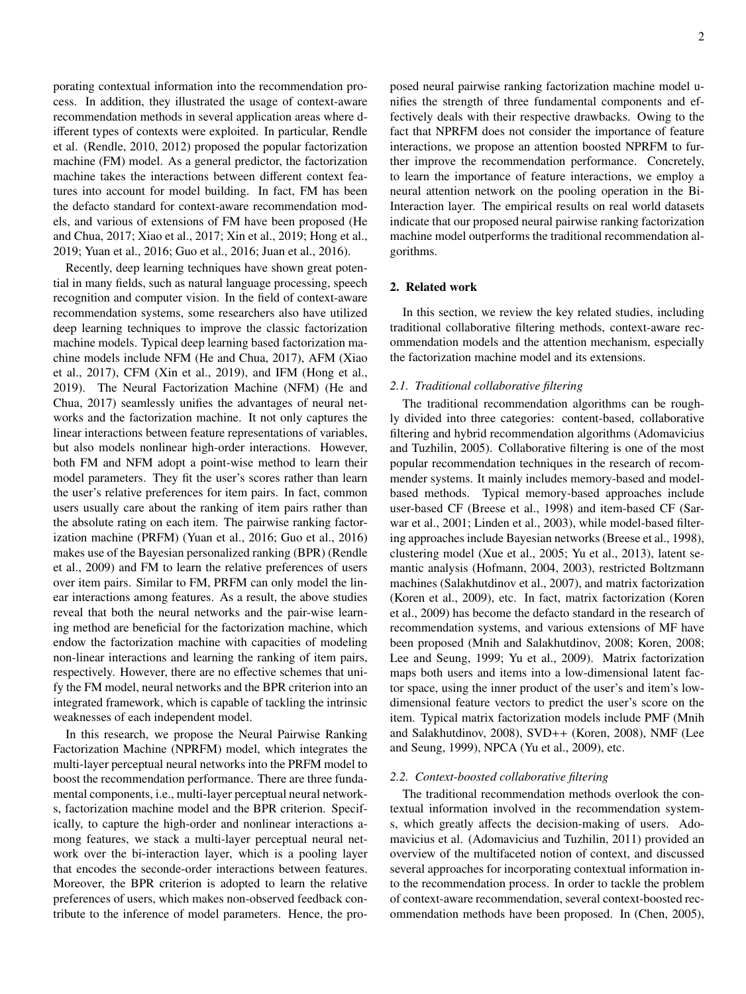porating contextual information into the recommendation process. In addition, they illustrated the usage of context-aware recommendation methods in several application areas where different types of contexts were exploited. In particular, Rendle et al. (Rendle, 2010, 2012) proposed the popular factorization machine (FM) model. As a general predictor, the factorization machine takes the interactions between different context features into account for model building. In fact, FM has been the defacto standard for context-aware recommendation models, and various of extensions of FM have been proposed (He and Chua, 2017; Xiao et al., 2017; Xin et al., 2019; Hong et al., 2019; Yuan et al., 2016; Guo et al., 2016; Juan et al., 2016).

Recently, deep learning techniques have shown great potential in many fields, such as natural language processing, speech recognition and computer vision. In the field of context-aware recommendation systems, some researchers also have utilized deep learning techniques to improve the classic factorization machine models. Typical deep learning based factorization machine models include NFM (He and Chua, 2017), AFM (Xiao et al., 2017), CFM (Xin et al., 2019), and IFM (Hong et al., 2019). The Neural Factorization Machine (NFM) (He and Chua, 2017) seamlessly unifies the advantages of neural networks and the factorization machine. It not only captures the linear interactions between feature representations of variables, but also models nonlinear high-order interactions. However, both FM and NFM adopt a point-wise method to learn their model parameters. They fit the user's scores rather than learn the user's relative preferences for item pairs. In fact, common users usually care about the ranking of item pairs rather than the absolute rating on each item. The pairwise ranking factorization machine (PRFM) (Yuan et al., 2016; Guo et al., 2016) makes use of the Bayesian personalized ranking (BPR) (Rendle et al., 2009) and FM to learn the relative preferences of users over item pairs. Similar to FM, PRFM can only model the linear interactions among features. As a result, the above studies reveal that both the neural networks and the pair-wise learning method are beneficial for the factorization machine, which endow the factorization machine with capacities of modeling non-linear interactions and learning the ranking of item pairs, respectively. However, there are no effective schemes that unify the FM model, neural networks and the BPR criterion into an integrated framework, which is capable of tackling the intrinsic weaknesses of each independent model.

In this research, we propose the Neural Pairwise Ranking Factorization Machine (NPRFM) model, which integrates the multi-layer perceptual neural networks into the PRFM model to boost the recommendation performance. There are three fundamental components, i.e., multi-layer perceptual neural networks, factorization machine model and the BPR criterion. Specifically, to capture the high-order and nonlinear interactions among features, we stack a multi-layer perceptual neural network over the bi-interaction layer, which is a pooling layer that encodes the seconde-order interactions between features. Moreover, the BPR criterion is adopted to learn the relative preferences of users, which makes non-observed feedback contribute to the inference of model parameters. Hence, the proposed neural pairwise ranking factorization machine model unifies the strength of three fundamental components and effectively deals with their respective drawbacks. Owing to the fact that NPRFM does not consider the importance of feature interactions, we propose an attention boosted NPRFM to further improve the recommendation performance. Concretely, to learn the importance of feature interactions, we employ a neural attention network on the pooling operation in the Bi-Interaction layer. The empirical results on real world datasets indicate that our proposed neural pairwise ranking factorization machine model outperforms the traditional recommendation algorithms.

# 2. Related work

In this section, we review the key related studies, including traditional collaborative filtering methods, context-aware recommendation models and the attention mechanism, especially the factorization machine model and its extensions.

#### *2.1. Traditional collaborative filtering*

The traditional recommendation algorithms can be roughly divided into three categories: content-based, collaborative filtering and hybrid recommendation algorithms (Adomavicius and Tuzhilin, 2005). Collaborative filtering is one of the most popular recommendation techniques in the research of recommender systems. It mainly includes memory-based and modelbased methods. Typical memory-based approaches include user-based CF (Breese et al., 1998) and item-based CF (Sarwar et al., 2001; Linden et al., 2003), while model-based filtering approaches include Bayesian networks (Breese et al., 1998), clustering model (Xue et al., 2005; Yu et al., 2013), latent semantic analysis (Hofmann, 2004, 2003), restricted Boltzmann machines (Salakhutdinov et al., 2007), and matrix factorization (Koren et al., 2009), etc. In fact, matrix factorization (Koren et al., 2009) has become the defacto standard in the research of recommendation systems, and various extensions of MF have been proposed (Mnih and Salakhutdinov, 2008; Koren, 2008; Lee and Seung, 1999; Yu et al., 2009). Matrix factorization maps both users and items into a low-dimensional latent factor space, using the inner product of the user's and item's lowdimensional feature vectors to predict the user's score on the item. Typical matrix factorization models include PMF (Mnih and Salakhutdinov, 2008), SVD++ (Koren, 2008), NMF (Lee and Seung, 1999), NPCA (Yu et al., 2009), etc.

#### *2.2. Context-boosted collaborative filtering*

The traditional recommendation methods overlook the contextual information involved in the recommendation systems, which greatly affects the decision-making of users. Adomavicius et al. (Adomavicius and Tuzhilin, 2011) provided an overview of the multifaceted notion of context, and discussed several approaches for incorporating contextual information into the recommendation process. In order to tackle the problem of context-aware recommendation, several context-boosted recommendation methods have been proposed. In (Chen, 2005),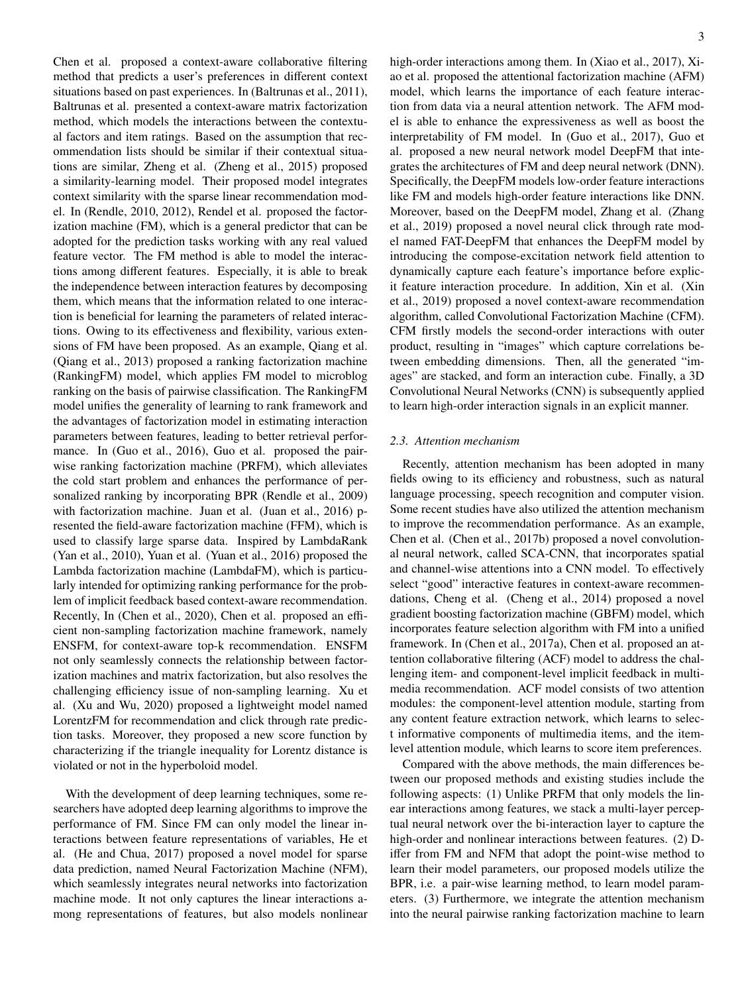Chen et al. proposed a context-aware collaborative filtering method that predicts a user's preferences in different context situations based on past experiences. In (Baltrunas et al., 2011), Baltrunas et al. presented a context-aware matrix factorization method, which models the interactions between the contextual factors and item ratings. Based on the assumption that recommendation lists should be similar if their contextual situations are similar, Zheng et al. (Zheng et al., 2015) proposed a similarity-learning model. Their proposed model integrates context similarity with the sparse linear recommendation model. In (Rendle, 2010, 2012), Rendel et al. proposed the factorization machine (FM), which is a general predictor that can be adopted for the prediction tasks working with any real valued feature vector. The FM method is able to model the interactions among different features. Especially, it is able to break the independence between interaction features by decomposing them, which means that the information related to one interaction is beneficial for learning the parameters of related interactions. Owing to its effectiveness and flexibility, various extensions of FM have been proposed. As an example, Qiang et al. (Qiang et al., 2013) proposed a ranking factorization machine (RankingFM) model, which applies FM model to microblog ranking on the basis of pairwise classification. The RankingFM model unifies the generality of learning to rank framework and the advantages of factorization model in estimating interaction parameters between features, leading to better retrieval performance. In (Guo et al., 2016), Guo et al. proposed the pairwise ranking factorization machine (PRFM), which alleviates the cold start problem and enhances the performance of personalized ranking by incorporating BPR (Rendle et al., 2009) with factorization machine. Juan et al. (Juan et al., 2016) presented the field-aware factorization machine (FFM), which is used to classify large sparse data. Inspired by LambdaRank (Yan et al., 2010), Yuan et al. (Yuan et al., 2016) proposed the Lambda factorization machine (LambdaFM), which is particularly intended for optimizing ranking performance for the problem of implicit feedback based context-aware recommendation. Recently, In (Chen et al., 2020), Chen et al. proposed an efficient non-sampling factorization machine framework, namely ENSFM, for context-aware top-k recommendation. ENSFM not only seamlessly connects the relationship between factorization machines and matrix factorization, but also resolves the challenging efficiency issue of non-sampling learning. Xu et al. (Xu and Wu, 2020) proposed a lightweight model named LorentzFM for recommendation and click through rate prediction tasks. Moreover, they proposed a new score function by characterizing if the triangle inequality for Lorentz distance is violated or not in the hyperboloid model.

With the development of deep learning techniques, some researchers have adopted deep learning algorithms to improve the performance of FM. Since FM can only model the linear interactions between feature representations of variables, He et al. (He and Chua, 2017) proposed a novel model for sparse data prediction, named Neural Factorization Machine (NFM), which seamlessly integrates neural networks into factorization machine mode. It not only captures the linear interactions among representations of features, but also models nonlinear 3

high-order interactions among them. In (Xiao et al., 2017), Xiao et al. proposed the attentional factorization machine (AFM) model, which learns the importance of each feature interaction from data via a neural attention network. The AFM model is able to enhance the expressiveness as well as boost the interpretability of FM model. In (Guo et al., 2017), Guo et al. proposed a new neural network model DeepFM that integrates the architectures of FM and deep neural network (DNN). Specifically, the DeepFM models low-order feature interactions like FM and models high-order feature interactions like DNN. Moreover, based on the DeepFM model, Zhang et al. (Zhang et al., 2019) proposed a novel neural click through rate model named FAT-DeepFM that enhances the DeepFM model by introducing the compose-excitation network field attention to dynamically capture each feature's importance before explicit feature interaction procedure. In addition, Xin et al. (Xin et al., 2019) proposed a novel context-aware recommendation algorithm, called Convolutional Factorization Machine (CFM). CFM firstly models the second-order interactions with outer product, resulting in "images" which capture correlations between embedding dimensions. Then, all the generated "images" are stacked, and form an interaction cube. Finally, a 3D Convolutional Neural Networks (CNN) is subsequently applied to learn high-order interaction signals in an explicit manner.

#### *2.3. Attention mechanism*

Recently, attention mechanism has been adopted in many fields owing to its efficiency and robustness, such as natural language processing, speech recognition and computer vision. Some recent studies have also utilized the attention mechanism to improve the recommendation performance. As an example, Chen et al. (Chen et al., 2017b) proposed a novel convolutional neural network, called SCA-CNN, that incorporates spatial and channel-wise attentions into a CNN model. To effectively select "good" interactive features in context-aware recommendations, Cheng et al. (Cheng et al., 2014) proposed a novel gradient boosting factorization machine (GBFM) model, which incorporates feature selection algorithm with FM into a unified framework. In (Chen et al., 2017a), Chen et al. proposed an attention collaborative filtering (ACF) model to address the challenging item- and component-level implicit feedback in multimedia recommendation. ACF model consists of two attention modules: the component-level attention module, starting from any content feature extraction network, which learns to select informative components of multimedia items, and the itemlevel attention module, which learns to score item preferences.

Compared with the above methods, the main differences between our proposed methods and existing studies include the following aspects: (1) Unlike PRFM that only models the linear interactions among features, we stack a multi-layer perceptual neural network over the bi-interaction layer to capture the high-order and nonlinear interactions between features. (2) Differ from FM and NFM that adopt the point-wise method to learn their model parameters, our proposed models utilize the BPR, i.e. a pair-wise learning method, to learn model parameters. (3) Furthermore, we integrate the attention mechanism into the neural pairwise ranking factorization machine to learn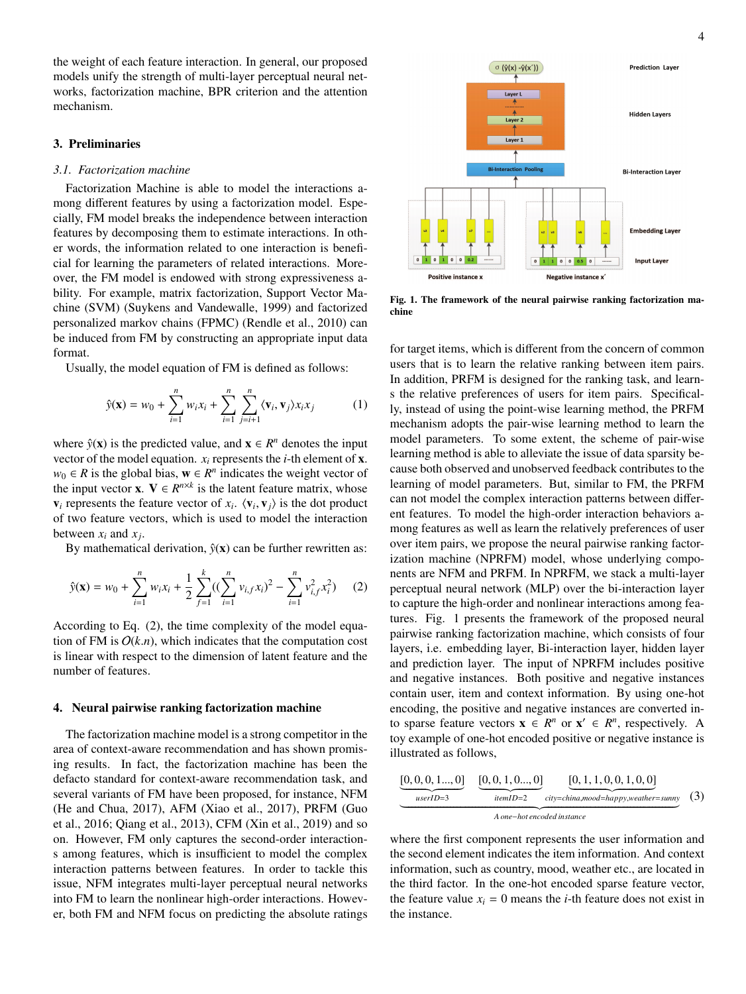the weight of each feature interaction. In general, our proposed models unify the strength of multi-layer perceptual neural networks, factorization machine, BPR criterion and the attention mechanism.

#### 3. Preliminaries

#### *3.1. Factorization machine*

Factorization Machine is able to model the interactions among different features by using a factorization model. Especially, FM model breaks the independence between interaction features by decomposing them to estimate interactions. In other words, the information related to one interaction is beneficial for learning the parameters of related interactions. Moreover, the FM model is endowed with strong expressiveness ability. For example, matrix factorization, Support Vector Machine (SVM) (Suykens and Vandewalle, 1999) and factorized personalized markov chains (FPMC) (Rendle et al., 2010) can be induced from FM by constructing an appropriate input data format.

Usually, the model equation of FM is defined as follows:

$$
\hat{y}(\mathbf{x}) = w_0 + \sum_{i=1}^n w_i x_i + \sum_{i=1}^n \sum_{j=i+1}^n \langle \mathbf{v}_i, \mathbf{v}_j \rangle x_i x_j \tag{1}
$$

where  $\hat{y}(\mathbf{x})$  is the predicted value, and  $\mathbf{x} \in \mathbb{R}^n$  denotes the input vector of the model equation.  $x_i$  represents the *i*-th element of **x**.  $w_0 \in R$  is the global bias,  $\mathbf{w} \in R^n$  indicates the weight vector of the input vector **x**.  $V \in R^{n \times k}$  is the latent feature matrix, whose  $\mathbf{v}_i$  represents the feature vector of  $x_i$ .  $\langle \mathbf{v}_i, \mathbf{v}_j \rangle$  is the dot product of two feature vectors, which is used to model the interaction of two feature vectors, which is used to model the interaction between  $x_i$  and  $x_j$ .

By mathematical derivation,  $\hat{y}(x)$  can be further rewritten as:

$$
\hat{y}(\mathbf{x}) = w_0 + \sum_{i=1}^n w_i x_i + \frac{1}{2} \sum_{f=1}^k ((\sum_{i=1}^n v_{i,f} x_i)^2 - \sum_{i=1}^n v_{i,f}^2 x_i^2) \tag{2}
$$

According to Eq. (2), the time complexity of the model equation of FM is  $O(k.n)$ , which indicates that the computation cost is linear with respect to the dimension of latent feature and the number of features.

#### 4. Neural pairwise ranking factorization machine

The factorization machine model is a strong competitor in the area of context-aware recommendation and has shown promising results. In fact, the factorization machine has been the defacto standard for context-aware recommendation task, and several variants of FM have been proposed, for instance, NFM (He and Chua, 2017), AFM (Xiao et al., 2017), PRFM (Guo et al., 2016; Qiang et al., 2013), CFM (Xin et al., 2019) and so on. However, FM only captures the second-order interactions among features, which is insufficient to model the complex interaction patterns between features. In order to tackle this issue, NFM integrates multi-layer perceptual neural networks into FM to learn the nonlinear high-order interactions. However, both FM and NFM focus on predicting the absolute ratings



Fig. 1. The framework of the neural pairwise ranking factorization machine

for target items, which is different from the concern of common users that is to learn the relative ranking between item pairs. In addition, PRFM is designed for the ranking task, and learns the relative preferences of users for item pairs. Specifically, instead of using the point-wise learning method, the PRFM mechanism adopts the pair-wise learning method to learn the model parameters. To some extent, the scheme of pair-wise learning method is able to alleviate the issue of data sparsity because both observed and unobserved feedback contributes to the learning of model parameters. But, similar to FM, the PRFM can not model the complex interaction patterns between different features. To model the high-order interaction behaviors among features as well as learn the relatively preferences of user over item pairs, we propose the neural pairwise ranking factorization machine (NPRFM) model, whose underlying components are NFM and PRFM. In NPRFM, we stack a multi-layer perceptual neural network (MLP) over the bi-interaction layer to capture the high-order and nonlinear interactions among features. Fig. 1 presents the framework of the proposed neural pairwise ranking factorization machine, which consists of four layers, i.e. embedding layer, Bi-interaction layer, hidden layer and prediction layer. The input of NPRFM includes positive and negative instances. Both positive and negative instances contain user, item and context information. By using one-hot encoding, the positive and negative instances are converted into sparse feature vectors  $\mathbf{x} \in R^n$  or  $\mathbf{x}' \in R^n$ , respectively. A toy example of one-hot encoded positive or negative instance is illustrated as follows,

$$
\underbrace{[0, 0, 0, 1... , 0]}_{userID=3} \underbrace{[0, 0, 1, 0... , 0]}_{itemID=2} \underbrace{[0, 1, 1, 0, 0, 1, 0, 0]}_{city=china, mood=happy, weather=sunny}
$$
 (3)

where the first component represents the user information and the second element indicates the item information. And context information, such as country, mood, weather etc., are located in the third factor. In the one-hot encoded sparse feature vector, the feature value  $x_i = 0$  means the *i*-th feature does not exist in the instance.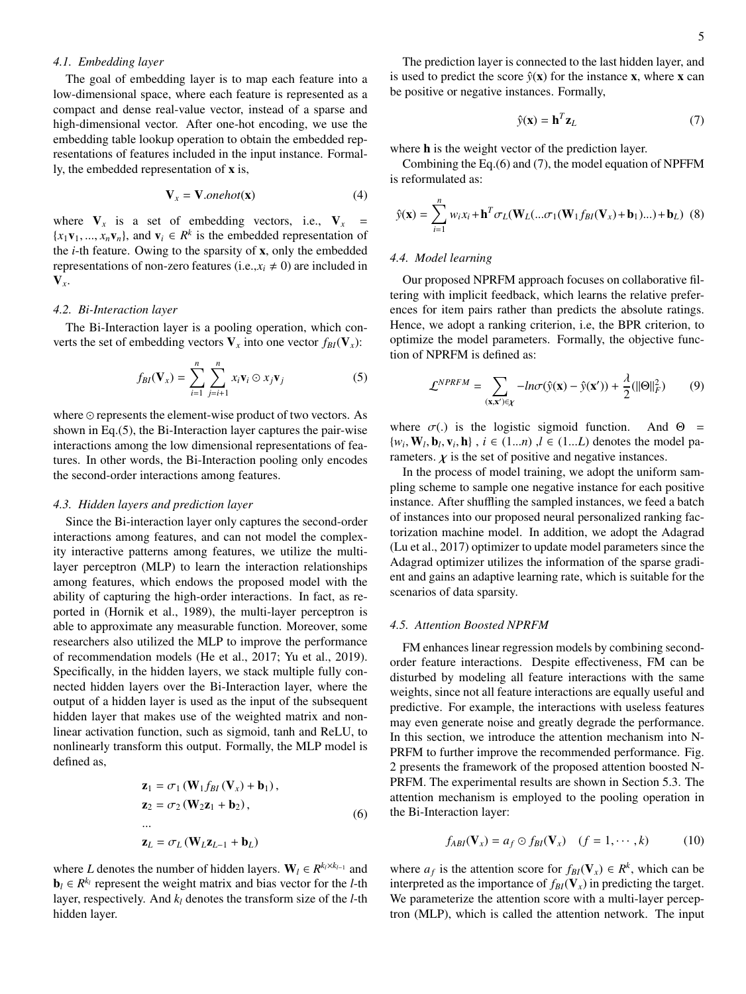#### *4.1. Embedding layer*

The goal of embedding layer is to map each feature into a low-dimensional space, where each feature is represented as a compact and dense real-value vector, instead of a sparse and high-dimensional vector. After one-hot encoding, we use the embedding table lookup operation to obtain the embedded representations of features included in the input instance. Formally, the embedded representation of x is,

$$
\mathbf{V}_x = \mathbf{V}.\text{onehot}(\mathbf{x})\tag{4}
$$

where  $V_x$  is a set of embedding vectors, i.e.,  $V_x$  =  $\{x_1\mathbf{v}_1, ..., x_n\mathbf{v}_n\}$ , and  $\mathbf{v}_i \in \mathbb{R}^k$  is the embedded representation of the *i*-th feature. Owing to the sparsity of **x**, only the embedded the *i*-th feature. Owing to the sparsity of x, only the embedded representations of non-zero features (i.e., $x_i \neq 0$ ) are included in V*x*.

# *4.2. Bi-Interaction layer*

The Bi-Interaction layer is a pooling operation, which converts the set of embedding vectors  $V_x$  into one vector  $f_{BI}(V_x)$ :

$$
f_{BI}(\mathbf{V}_x) = \sum_{i=1}^n \sum_{j=i+1}^n x_i \mathbf{v}_i \odot x_j \mathbf{v}_j
$$
 (5)

where  $\odot$  represents the element-wise product of two vectors. As shown in Eq.(5), the Bi-Interaction layer captures the pair-wise interactions among the low dimensional representations of features. In other words, the Bi-Interaction pooling only encodes the second-order interactions among features.

#### *4.3. Hidden layers and prediction layer*

Since the Bi-interaction layer only captures the second-order interactions among features, and can not model the complexity interactive patterns among features, we utilize the multilayer perceptron (MLP) to learn the interaction relationships among features, which endows the proposed model with the ability of capturing the high-order interactions. In fact, as reported in (Hornik et al., 1989), the multi-layer perceptron is able to approximate any measurable function. Moreover, some researchers also utilized the MLP to improve the performance of recommendation models (He et al., 2017; Yu et al., 2019). Specifically, in the hidden layers, we stack multiple fully connected hidden layers over the Bi-Interaction layer, where the output of a hidden layer is used as the input of the subsequent hidden layer that makes use of the weighted matrix and nonlinear activation function, such as sigmoid, tanh and ReLU, to nonlinearly transform this output. Formally, the MLP model is defined as,

$$
\mathbf{z}_{1} = \sigma_{1} (\mathbf{W}_{1} f_{BI} (\mathbf{V}_{x}) + \mathbf{b}_{1}),
$$
  
\n
$$
\mathbf{z}_{2} = \sigma_{2} (\mathbf{W}_{2} \mathbf{z}_{1} + \mathbf{b}_{2}),
$$
  
\n...  
\n
$$
\mathbf{z}_{L} = \sigma_{L} (\mathbf{W}_{L} \mathbf{z}_{L-1} + \mathbf{b}_{L})
$$
  
\n(6)

where *L* denotes the number of hidden layers.  $W_l \in R^{k_l \times k_{l-1}}$  and  $\mathbf{b}_l \in R^{k_l}$  represent the weight matrix and bias vector for the *l*-th layer, respectively. And *k<sup>l</sup>* denotes the transform size of the *l*-th hidden layer.

The prediction layer is connected to the last hidden layer, and is used to predict the score  $\hat{y}(x)$  for the instance x, where x can be positive or negative instances. Formally,

$$
\hat{y}(\mathbf{x}) = \mathbf{h}^T \mathbf{z}_L \tag{7}
$$

where **h** is the weight vector of the prediction layer.

Combining the Eq.(6) and (7), the model equation of NPFFM is reformulated as:

$$
\hat{y}(\mathbf{x}) = \sum_{i=1}^{n} w_i x_i + \mathbf{h}^T \sigma_L(\mathbf{W}_L(\dots \sigma_1(\mathbf{W}_1 f_{BI}(\mathbf{V}_x) + \mathbf{b}_1) \dots) + \mathbf{b}_L)
$$
 (8)

#### *4.4. Model learning*

Our proposed NPRFM approach focuses on collaborative filtering with implicit feedback, which learns the relative preferences for item pairs rather than predicts the absolute ratings. Hence, we adopt a ranking criterion, i.e, the BPR criterion, to optimize the model parameters. Formally, the objective function of NPRFM is defined as:

$$
\mathcal{L}^{NPRFM} = \sum_{(\mathbf{x}, \mathbf{x}') \in \mathcal{X}} -ln \sigma(\hat{\mathbf{y}}(\mathbf{x}) - \hat{\mathbf{y}}(\mathbf{x}')) + \frac{\lambda}{2} (||\mathbf{\Theta}||_F^2)
$$
(9)

where  $\sigma(.)$  is the logistic sigmoid function. And  $\Theta = \{w_i, \mathbf{W}_l, \mathbf{b}_l, \mathbf{v}_i, \mathbf{h}\}$ ,  $i \in (1...n)$ ,  $l \in (1...L)$  denotes the model parameters  $\kappa$  is the set of positive and negative instances rameters.  $\chi$  is the set of positive and negative instances.

In the process of model training, we adopt the uniform sampling scheme to sample one negative instance for each positive instance. After shuffling the sampled instances, we feed a batch of instances into our proposed neural personalized ranking factorization machine model. In addition, we adopt the Adagrad (Lu et al., 2017) optimizer to update model parameters since the Adagrad optimizer utilizes the information of the sparse gradient and gains an adaptive learning rate, which is suitable for the scenarios of data sparsity.

#### *4.5. Attention Boosted NPRFM*

FM enhances linear regression models by combining secondorder feature interactions. Despite effectiveness, FM can be disturbed by modeling all feature interactions with the same weights, since not all feature interactions are equally useful and predictive. For example, the interactions with useless features may even generate noise and greatly degrade the performance. In this section, we introduce the attention mechanism into N-PRFM to further improve the recommended performance. Fig. 2 presents the framework of the proposed attention boosted N-PRFM. The experimental results are shown in Section 5.3. The attention mechanism is employed to the pooling operation in the Bi-Interaction layer:

$$
f_{ABI}(\mathbf{V}_x) = a_f \odot f_{BI}(\mathbf{V}_x) \quad (f = 1, \cdots, k) \tag{10}
$$

where  $a_f$  is the attention score for  $f_{BI}(\mathbf{V}_x) \in R^k$ , which can be interpreted as the importance of  $f_{BI}(\mathbf{V}_x)$  in predicting the target. We parameterize the attention score with a multi-layer perceptron (MLP), which is called the attention network. The input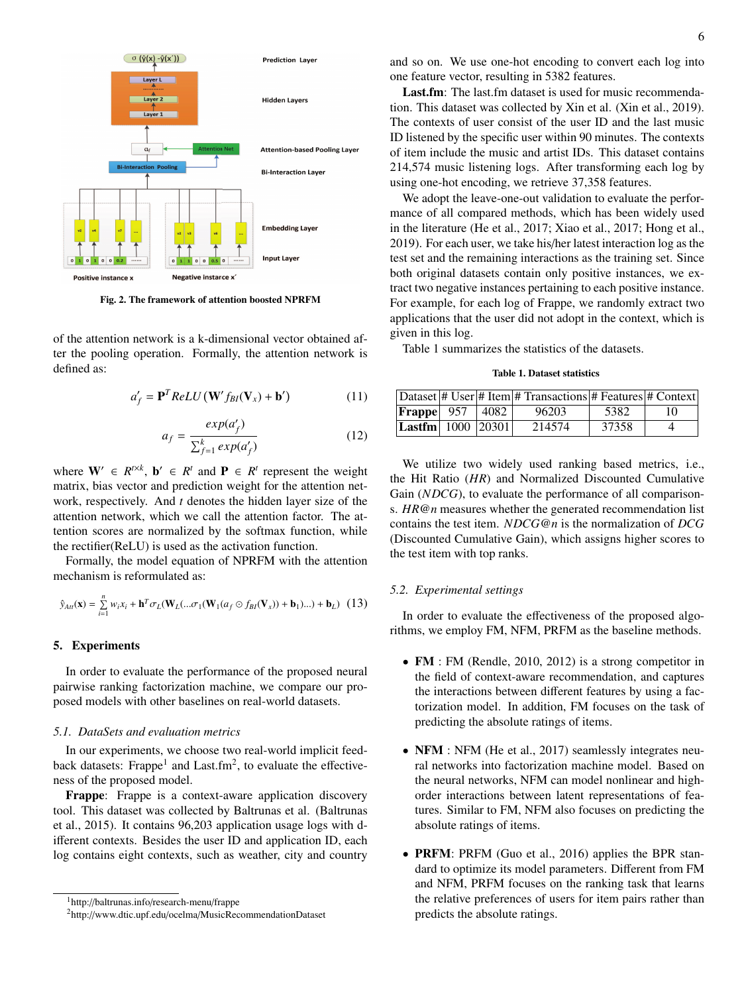

Fig. 2. The framework of attention boosted NPRFM

of the attention network is a k-dimensional vector obtained after the pooling operation. Formally, the attention network is defined as:

$$
a'_{f} = \mathbf{P}^{T} ReLU \left( \mathbf{W}' f_{BI}(\mathbf{V}_{x}) + \mathbf{b}' \right)
$$
 (11)

$$
a_f = \frac{exp(a'_f)}{\sum_{f=1}^k exp(a'_f)}
$$
(12)

where  $W' \in R^{t \times k}$ ,  $b' \in R^t$  and  $P \in R^t$  represent the weight matrix, bias vector and prediction weight for the attention network, respectively. And *t* denotes the hidden layer size of the attention network, which we call the attention factor. The attention scores are normalized by the softmax function, while the rectifier(ReLU) is used as the activation function.

Formally, the model equation of NPRFM with the attention mechanism is reformulated as:

$$
\hat{y}_{Att}(\mathbf{x}) = \sum_{i=1}^{n} w_i x_i + \mathbf{h}^T \sigma_L(\mathbf{W}_L(\dots \sigma_1(\mathbf{W}_1(a_f \odot f_{BI}(\mathbf{V}_x)) + \mathbf{b}_1) \dots) + \mathbf{b}_L)
$$
(13)

#### 5. Experiments

In order to evaluate the performance of the proposed neural pairwise ranking factorization machine, we compare our proposed models with other baselines on real-world datasets.

#### *5.1. DataSets and evaluation metrics*

In our experiments, we choose two real-world implicit feedback datasets: Frappe<sup>1</sup> and Last.fm<sup>2</sup>, to evaluate the effectiveness of the proposed model.

Frappe: Frappe is a context-aware application discovery tool. This dataset was collected by Baltrunas et al. (Baltrunas et al., 2015). It contains 96,203 application usage logs with different contexts. Besides the user ID and application ID, each log contains eight contexts, such as weather, city and country

Last.fm: The last.fm dataset is used for music recommendation. This dataset was collected by Xin et al. (Xin et al., 2019). The contexts of user consist of the user ID and the last music ID listened by the specific user within 90 minutes. The contexts of item include the music and artist IDs. This dataset contains 214,574 music listening logs. After transforming each log by using one-hot encoding, we retrieve 37,358 features.

We adopt the leave-one-out validation to evaluate the performance of all compared methods, which has been widely used in the literature (He et al., 2017; Xiao et al., 2017; Hong et al., 2019). For each user, we take his/her latest interaction log as the test set and the remaining interactions as the training set. Since both original datasets contain only positive instances, we extract two negative instances pertaining to each positive instance. For example, for each log of Frappe, we randomly extract two applications that the user did not adopt in the context, which is given in this log.

Table 1 summarizes the statistics of the datasets.

#### Table 1. Dataset statistics

|                                      |  | Dataset  # User  # Item  # Transactions  # Features  # Context |       |    |
|--------------------------------------|--|----------------------------------------------------------------|-------|----|
| <b>Frappe</b> 957 4082               |  | 96203                                                          | 5382  | 10 |
| $ $ <b>Lastfm</b> $  1000   20301  $ |  | 214574                                                         | 37358 |    |

We utilize two widely used ranking based metrics, i.e., the Hit Ratio (*HR*) and Normalized Discounted Cumulative Gain (*NDCG*), to evaluate the performance of all comparisons. *HR*@*n* measures whether the generated recommendation list contains the test item. *NDCG*@*n* is the normalization of *DCG* (Discounted Cumulative Gain), which assigns higher scores to the test item with top ranks.

#### *5.2. Experimental settings*

In order to evaluate the effectiveness of the proposed algorithms, we employ FM, NFM, PRFM as the baseline methods.

- FM : FM (Rendle, 2010, 2012) is a strong competitor in the field of context-aware recommendation, and captures the interactions between different features by using a factorization model. In addition, FM focuses on the task of predicting the absolute ratings of items.
- **NFM** : NFM (He et al., 2017) seamlessly integrates neural networks into factorization machine model. Based on the neural networks, NFM can model nonlinear and highorder interactions between latent representations of features. Similar to FM, NFM also focuses on predicting the absolute ratings of items.
- **PRFM**: PRFM (Guo et al., 2016) applies the BPR standard to optimize its model parameters. Different from FM and NFM, PRFM focuses on the ranking task that learns the relative preferences of users for item pairs rather than predicts the absolute ratings.

<sup>1</sup>http://baltrunas.info/research-menu/frappe

<sup>2</sup>http://www.dtic.upf.edu/ocelma/MusicRecommendationDataset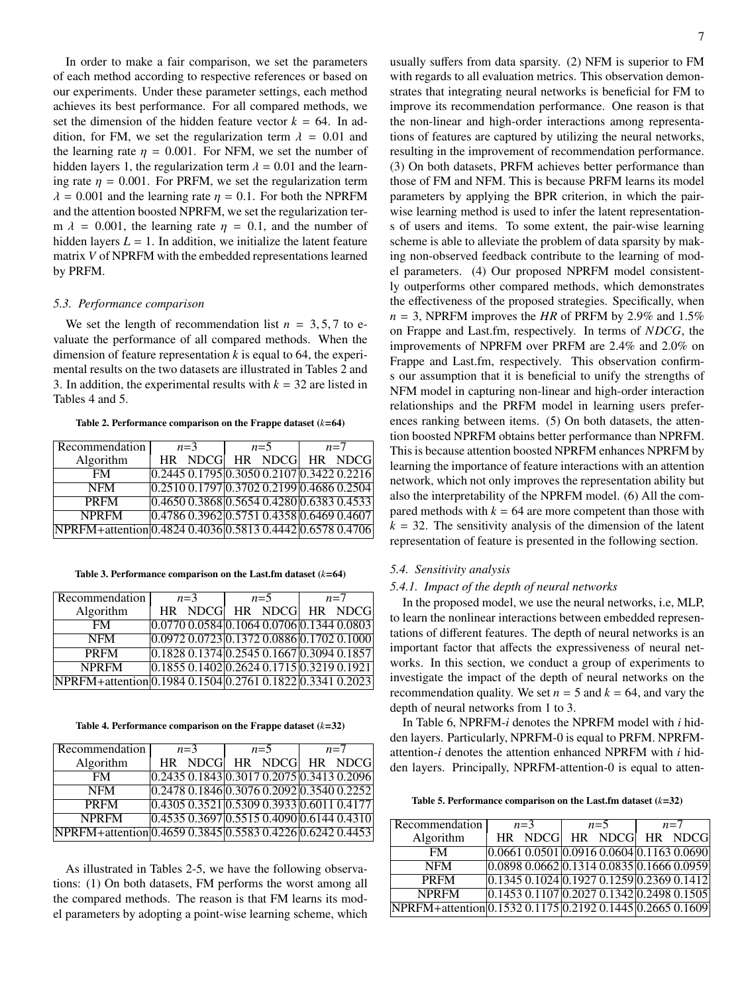In order to make a fair comparison, we set the parameters of each method according to respective references or based on our experiments. Under these parameter settings, each method achieves its best performance. For all compared methods, we set the dimension of the hidden feature vector  $k = 64$ . In addition, for FM, we set the regularization term  $\lambda = 0.01$  and the learning rate  $\eta = 0.001$ . For NFM, we set the number of hidden layers 1, the regularization term  $\lambda = 0.01$  and the learning rate  $\eta = 0.001$ . For PRFM, we set the regularization term  $\lambda = 0.001$  and the learning rate  $\eta = 0.1$ . For both the NPRFM and the attention boosted NPRFM, we set the regularization term  $\lambda$  = 0.001, the learning rate  $\eta$  = 0.1, and the number of hidden layers  $L = 1$ . In addition, we initialize the latent feature matrix *V* of NPRFM with the embedded representations learned by PRFM.

#### *5.3. Performance comparison*

We set the length of recommendation list  $n = 3, 5, 7$  to evaluate the performance of all compared methods. When the dimension of feature representation *k* is equal to 64, the experimental results on the two datasets are illustrated in Tables 2 and 3. In addition, the experimental results with  $k = 32$  are listed in Tables 4 and 5.

#### Table 2. Performance comparison on the Frappe dataset (*k*=64)

| Recommendation                                            | $n=3$                                              | $n=5$           | $n=7$ |
|-----------------------------------------------------------|----------------------------------------------------|-----------------|-------|
| Algorithm                                                 | HR NDCG                                            | HR NDCG HR NDCG |       |
| FM.                                                       | $[0.2445\ 0.1795\ 0.3050\ 0.2107\ 0.3422\ 0.2216]$ |                 |       |
| <b>NFM</b>                                                | $[0.2510\ 0.1797] 0.3702\ 0.2199] 0.4686\ 0.2504$  |                 |       |
| <b>PRFM</b>                                               | $[0.4650\,0.3868]0.5654\,0.4280]0.6383\,0.4533]$   |                 |       |
| <b>NPRFM</b>                                              | 0.47860.39620.57510.43580.64690.4607               |                 |       |
| NPRFM+attention 0.4824 0.4036 0.5813 0.4442 0.6578 0.4706 |                                                    |                 |       |

Table 3. Performance comparison on the Last.fm dataset (*k*=64)

| Recommendation                                            | $n=3$                                                 | $n=5$ | $n=7$ |
|-----------------------------------------------------------|-------------------------------------------------------|-------|-------|
| Algorithm                                                 | HR NDCG HR NDCG HR NDCG                               |       |       |
| FM                                                        | $[0.0770\ 0.0584\ 0.1064\ 0.0706\ 0.1344\ 0.0803]$    |       |       |
| <b>NFM</b>                                                | $[0.0972\ 0.0723] 0.1372\ 0.0886] 0.1702\ 0.1000$     |       |       |
| <b>PRFM</b>                                               | $0.1828$ $0.1374$ $0.2545$ $0.1667$ $0.3094$ $0.1857$ |       |       |
| <b>NPRFM</b>                                              | $0.18550.140200.26240.171500.32190.1921$              |       |       |
| NPRFM+attention 0.1984 0.1504 0.2761 0.1822 0.3341 0.2023 |                                                       |       |       |

Table 4. Performance comparison on the Frappe dataset (*k*=32)

| Recommendation                                            | $n=3$   | $n=5$                                                 | $n=7$ |
|-----------------------------------------------------------|---------|-------------------------------------------------------|-------|
| Algorithm                                                 | HR NDCG | HR NDCG HR NDCG                                       |       |
| <b>FM</b>                                                 |         | $[0.2435\ 0.1843] 0.3017\ 0.2075] 0.3413\ 0.2096$     |       |
| <b>NFM</b>                                                |         | 0.24780.18460.30760.20920.35400.2252                  |       |
| <b>PRFM</b>                                               |         | $[0.4305\ 0.3521]$ $0.5309\ 0.3933]$ $0.6011\ 0.4177$ |       |
| <b>NPRFM</b>                                              |         | $[0.4535\ 0.3697] 0.5515\ 0.4090] 0.6144\ 0.4310$     |       |
| NPRFM+attention 0.4659 0.3845 0.5583 0.4226 0.6242 0.4453 |         |                                                       |       |

As illustrated in Tables 2-5, we have the following observations: (1) On both datasets, FM performs the worst among all the compared methods. The reason is that FM learns its model parameters by adopting a point-wise learning scheme, which usually suffers from data sparsity. (2) NFM is superior to FM with regards to all evaluation metrics. This observation demonstrates that integrating neural networks is beneficial for FM to improve its recommendation performance. One reason is that the non-linear and high-order interactions among representations of features are captured by utilizing the neural networks, resulting in the improvement of recommendation performance. (3) On both datasets, PRFM achieves better performance than those of FM and NFM. This is because PRFM learns its model parameters by applying the BPR criterion, in which the pairwise learning method is used to infer the latent representations of users and items. To some extent, the pair-wise learning scheme is able to alleviate the problem of data sparsity by making non-observed feedback contribute to the learning of model parameters. (4) Our proposed NPRFM model consistently outperforms other compared methods, which demonstrates the effectiveness of the proposed strategies. Specifically, when  $n = 3$ , NPRFM improves the *HR* of PRFM by 2.9% and 1.5% on Frappe and Last.fm, respectively. In terms of *NDCG*, the improvements of NPRFM over PRFM are 2.4% and 2.0% on Frappe and Last.fm, respectively. This observation confirms our assumption that it is beneficial to unify the strengths of NFM model in capturing non-linear and high-order interaction relationships and the PRFM model in learning users preferences ranking between items. (5) On both datasets, the attention boosted NPRFM obtains better performance than NPRFM. This is because attention boosted NPRFM enhances NPRFM by learning the importance of feature interactions with an attention network, which not only improves the representation ability but also the interpretability of the NPRFM model. (6) All the compared methods with  $k = 64$  are more competent than those with  $k = 32$ . The sensitivity analysis of the dimension of the latent representation of feature is presented in the following section.

#### *5.4. Sensitivity analysis*

#### *5.4.1. Impact of the depth of neural networks*

In the proposed model, we use the neural networks, i.e, MLP, to learn the nonlinear interactions between embedded representations of different features. The depth of neural networks is an important factor that affects the expressiveness of neural networks. In this section, we conduct a group of experiments to investigate the impact of the depth of neural networks on the recommendation quality. We set  $n = 5$  and  $k = 64$ , and vary the depth of neural networks from 1 to 3.

In Table 6, NPRFM-*i* denotes the NPRFM model with *i* hidden layers. Particularly, NPRFM-0 is equal to PRFM. NPRFMattention-*i* denotes the attention enhanced NPRFM with *i* hidden layers. Principally, NPRFM-attention-0 is equal to atten-

Table 5. Performance comparison on the Last.fm dataset (*k*=32)

| Recommendation                                            | $n=3$   | $n=5$                                              | $n=7$ |
|-----------------------------------------------------------|---------|----------------------------------------------------|-------|
| Algorithm                                                 | HR NDCG | HR NDCG HR NDCG                                    |       |
| <b>FM</b>                                                 |         | $0.0661 0.0501 0.0916 0.0604 0.1163 0.0690$        |       |
| <b>NFM</b>                                                |         | $[0.0898\ 0.0662\ 0.1314\ 0.0835\ 0.1666\ 0.0959]$ |       |
| <b>PRFM</b>                                               |         | $[0.1345\ 0.1024\ 0.1927\ 0.1259\ 0.2369\ 0.1412]$ |       |
| <b>NPRFM</b>                                              |         | $\overline{0.14530.1107}0.20270.13420.24980.1505$  |       |
| NPRFM+attention 0.1532 0.1175 0.2192 0.1445 0.2665 0.1609 |         |                                                    |       |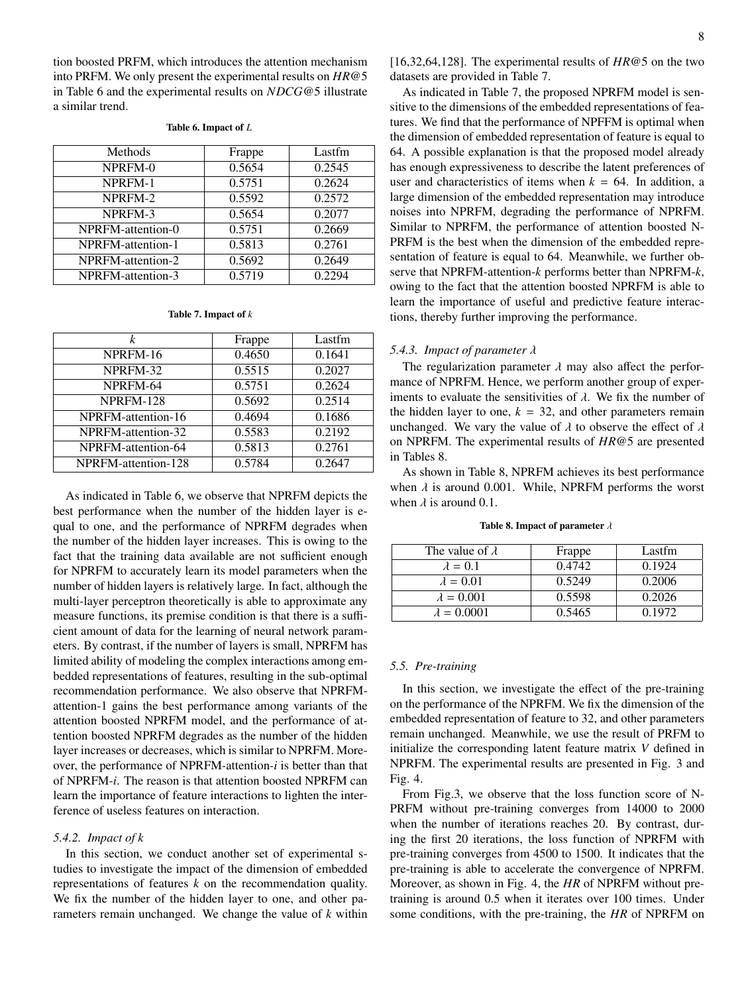tion boosted PRFM, which introduces the attention mechanism into PRFM. We only present the experimental results on *HR*@5 in Table 6 and the experimental results on *NDCG*@5 illustrate a similar trend.

#### Table 6. Impact of *L*

| Methods           | Frappe | Lastfm |
|-------------------|--------|--------|
| NPRFM-0           | 0.5654 | 0.2545 |
| NPRFM-1           | 0.5751 | 0.2624 |
| NPRFM-2           | 0.5592 | 0.2572 |
| NPRFM-3           | 0.5654 | 0.2077 |
| NPRFM-attention-0 | 0.5751 | 0.2669 |
| NPRFM-attention-1 | 0.5813 | 0.2761 |
| NPRFM-attention-2 | 0.5692 | 0.2649 |
| NPRFM-attention-3 | 0.5719 | 0.2294 |

#### Table 7. Impact of *k*

| k                   | Frappe | Lastfm |
|---------------------|--------|--------|
| NPRFM-16            | 0.4650 | 0.1641 |
| NPRFM-32            | 0.5515 | 0.2027 |
| NPRFM-64            | 0.5751 | 0.2624 |
| NPRFM-128           | 0.5692 | 0.2514 |
| NPRFM-attention-16  | 0.4694 | 0.1686 |
| NPRFM-attention-32  | 0.5583 | 0.2192 |
| NPRFM-attention-64  | 0.5813 | 0.2761 |
| NPRFM-attention-128 | 0.5784 | 0.2647 |

As indicated in Table 6, we observe that NPRFM depicts the best performance when the number of the hidden layer is equal to one, and the performance of NPRFM degrades when the number of the hidden layer increases. This is owing to the fact that the training data available are not sufficient enough for NPRFM to accurately learn its model parameters when the number of hidden layers is relatively large. In fact, although the multi-layer perceptron theoretically is able to approximate any measure functions, its premise condition is that there is a sufficient amount of data for the learning of neural network parameters. By contrast, if the number of layers is small, NPRFM has limited ability of modeling the complex interactions among embedded representations of features, resulting in the sub-optimal recommendation performance. We also observe that NPRFMattention-1 gains the best performance among variants of the attention boosted NPRFM model, and the performance of attention boosted NPRFM degrades as the number of the hidden layer increases or decreases, which is similar to NPRFM. Moreover, the performance of NPRFM-attention-*i* is better than that of NPRFM-*i*. The reason is that attention boosted NPRFM can learn the importance of feature interactions to lighten the interference of useless features on interaction.

# *5.4.2. Impact of k*

In this section, we conduct another set of experimental studies to investigate the impact of the dimension of embedded representations of features *k* on the recommendation quality. We fix the number of the hidden layer to one, and other parameters remain unchanged. We change the value of *k* within [16,32,64,128]. The experimental results of *HR*@5 on the two datasets are provided in Table 7.

As indicated in Table 7, the proposed NPRFM model is sensitive to the dimensions of the embedded representations of features. We find that the performance of NPFFM is optimal when the dimension of embedded representation of feature is equal to 64. A possible explanation is that the proposed model already has enough expressiveness to describe the latent preferences of user and characteristics of items when  $k = 64$ . In addition, a large dimension of the embedded representation may introduce noises into NPRFM, degrading the performance of NPRFM. Similar to NPRFM, the performance of attention boosted N-PRFM is the best when the dimension of the embedded representation of feature is equal to 64. Meanwhile, we further observe that NPRFM-attention-*k* performs better than NPRFM-*k*, owing to the fact that the attention boosted NPRFM is able to learn the importance of useful and predictive feature interactions, thereby further improving the performance.

#### *5.4.3. Impact of parameter* λ

The regularization parameter  $\lambda$  may also affect the performance of NPRFM. Hence, we perform another group of experiments to evaluate the sensitivities of  $\lambda$ . We fix the number of the hidden layer to one,  $k = 32$ , and other parameters remain unchanged. We vary the value of  $\lambda$  to observe the effect of  $\lambda$ on NPRFM. The experimental results of *HR*@5 are presented in Tables 8.

As shown in Table 8, NPRFM achieves its best performance when  $\lambda$  is around 0.001. While, NPRFM performs the worst when  $\lambda$  is around 0.1.

| The value of $\lambda$ | Frappe | Lastfm |
|------------------------|--------|--------|
| $\lambda = 0.1$        | 0.4742 | 0.1924 |
| $\lambda = 0.01$       | 0.5249 | 0.2006 |
| $\lambda = 0.001$      | 0.5598 | 0.2026 |
| $\lambda = 0.0001$     | 0.5465 | 0.1972 |
|                        |        |        |

#### Table 8. Impact of parameter  $\lambda$

#### *5.5. Pre-training*

In this section, we investigate the effect of the pre-training on the performance of the NPRFM. We fix the dimension of the embedded representation of feature to 32, and other parameters remain unchanged. Meanwhile, we use the result of PRFM to initialize the corresponding latent feature matrix *V* defined in NPRFM. The experimental results are presented in Fig. 3 and Fig. 4.

From Fig.3, we observe that the loss function score of N-PRFM without pre-training converges from 14000 to 2000 when the number of iterations reaches 20. By contrast, during the first 20 iterations, the loss function of NPRFM with pre-training converges from 4500 to 1500. It indicates that the pre-training is able to accelerate the convergence of NPRFM. Moreover, as shown in Fig. 4, the *HR* of NPRFM without pretraining is around 0.5 when it iterates over 100 times. Under some conditions, with the pre-training, the *HR* of NPRFM on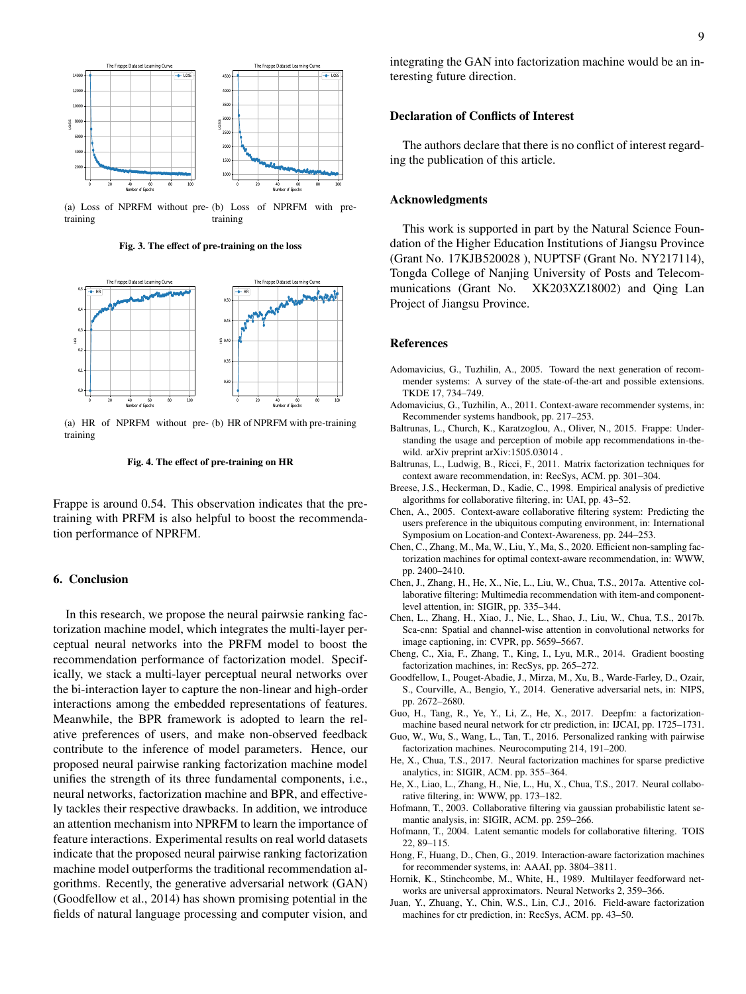

(a) Loss of NPRFM without pre-(b) Loss of NPRFM with pretraining training

Fig. 3. The effect of pre-training on the loss



(a) HR of NPRFM without pre-(b) HR of NPRFM with pre-training training



Frappe is around 0.54. This observation indicates that the pretraining with PRFM is also helpful to boost the recommendation performance of NPRFM.

## 6. Conclusion

In this research, we propose the neural pairwsie ranking factorization machine model, which integrates the multi-layer perceptual neural networks into the PRFM model to boost the recommendation performance of factorization model. Specifically, we stack a multi-layer perceptual neural networks over the bi-interaction layer to capture the non-linear and high-order interactions among the embedded representations of features. Meanwhile, the BPR framework is adopted to learn the relative preferences of users, and make non-observed feedback contribute to the inference of model parameters. Hence, our proposed neural pairwise ranking factorization machine model unifies the strength of its three fundamental components, i.e., neural networks, factorization machine and BPR, and effectively tackles their respective drawbacks. In addition, we introduce an attention mechanism into NPRFM to learn the importance of feature interactions. Experimental results on real world datasets indicate that the proposed neural pairwise ranking factorization machine model outperforms the traditional recommendation algorithms. Recently, the generative adversarial network (GAN) (Goodfellow et al., 2014) has shown promising potential in the fields of natural language processing and computer vision, and

integrating the GAN into factorization machine would be an interesting future direction.

#### Declaration of Conflicts of Interest

The authors declare that there is no conflict of interest regarding the publication of this article.

#### Acknowledgments

This work is supported in part by the Natural Science Foundation of the Higher Education Institutions of Jiangsu Province (Grant No. 17KJB520028 ), NUPTSF (Grant No. NY217114), Tongda College of Nanjing University of Posts and Telecommunications (Grant No. XK203XZ18002) and Qing Lan Project of Jiangsu Province.

#### References

- Adomavicius, G., Tuzhilin, A., 2005. Toward the next generation of recommender systems: A survey of the state-of-the-art and possible extensions. TKDE 17, 734–749.
- Adomavicius, G., Tuzhilin, A., 2011. Context-aware recommender systems, in: Recommender systems handbook, pp. 217–253.
- Baltrunas, L., Church, K., Karatzoglou, A., Oliver, N., 2015. Frappe: Understanding the usage and perception of mobile app recommendations in-thewild. arXiv preprint arXiv:1505.03014 .
- Baltrunas, L., Ludwig, B., Ricci, F., 2011. Matrix factorization techniques for context aware recommendation, in: RecSys, ACM. pp. 301–304.
- Breese, J.S., Heckerman, D., Kadie, C., 1998. Empirical analysis of predictive algorithms for collaborative filtering, in: UAI, pp. 43–52.
- Chen, A., 2005. Context-aware collaborative filtering system: Predicting the users preference in the ubiquitous computing environment, in: International Symposium on Location-and Context-Awareness, pp. 244–253.
- Chen, C., Zhang, M., Ma, W., Liu, Y., Ma, S., 2020. Efficient non-sampling factorization machines for optimal context-aware recommendation, in: WWW, pp. 2400–2410.
- Chen, J., Zhang, H., He, X., Nie, L., Liu, W., Chua, T.S., 2017a. Attentive collaborative filtering: Multimedia recommendation with item-and componentlevel attention, in: SIGIR, pp. 335–344.
- Chen, L., Zhang, H., Xiao, J., Nie, L., Shao, J., Liu, W., Chua, T.S., 2017b. Sca-cnn: Spatial and channel-wise attention in convolutional networks for image captioning, in: CVPR, pp. 5659–5667.
- Cheng, C., Xia, F., Zhang, T., King, I., Lyu, M.R., 2014. Gradient boosting factorization machines, in: RecSys, pp. 265–272.
- Goodfellow, I., Pouget-Abadie, J., Mirza, M., Xu, B., Warde-Farley, D., Ozair, S., Courville, A., Bengio, Y., 2014. Generative adversarial nets, in: NIPS, pp. 2672–2680.
- Guo, H., Tang, R., Ye, Y., Li, Z., He, X., 2017. Deepfm: a factorizationmachine based neural network for ctr prediction, in: IJCAI, pp. 1725–1731.
- Guo, W., Wu, S., Wang, L., Tan, T., 2016. Personalized ranking with pairwise factorization machines. Neurocomputing 214, 191–200.
- He, X., Chua, T.S., 2017. Neural factorization machines for sparse predictive analytics, in: SIGIR, ACM. pp. 355–364.
- He, X., Liao, L., Zhang, H., Nie, L., Hu, X., Chua, T.S., 2017. Neural collaborative filtering, in: WWW, pp. 173–182.
- Hofmann, T., 2003. Collaborative filtering via gaussian probabilistic latent semantic analysis, in: SIGIR, ACM. pp. 259–266.
- Hofmann, T., 2004. Latent semantic models for collaborative filtering. TOIS 22, 89–115.
- Hong, F., Huang, D., Chen, G., 2019. Interaction-aware factorization machines for recommender systems, in: AAAI, pp. 3804–3811.
- Hornik, K., Stinchcombe, M., White, H., 1989. Multilayer feedforward networks are universal approximators. Neural Networks 2, 359–366.
- Juan, Y., Zhuang, Y., Chin, W.S., Lin, C.J., 2016. Field-aware factorization machines for ctr prediction, in: RecSys, ACM. pp. 43–50.